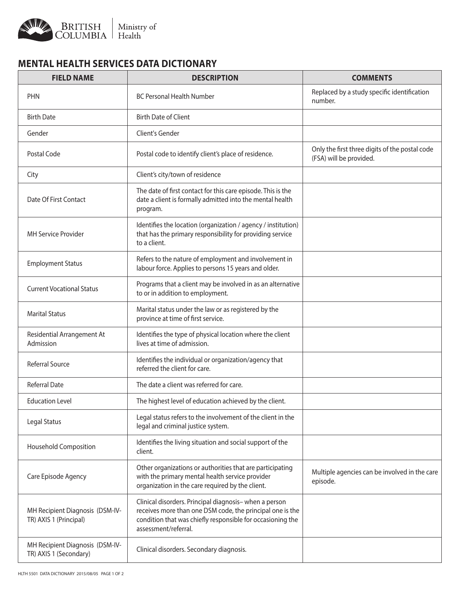

## **MENTAL HEALTH SERVICES DATA DICTIONARY**

| <b>FIELD NAME</b>                                         | <b>DESCRIPTION</b>                                                                                                                                                                                        | <b>COMMENTS</b>                                                           |
|-----------------------------------------------------------|-----------------------------------------------------------------------------------------------------------------------------------------------------------------------------------------------------------|---------------------------------------------------------------------------|
| <b>PHN</b>                                                | <b>BC Personal Health Number</b>                                                                                                                                                                          | Replaced by a study specific identification<br>number.                    |
| <b>Birth Date</b>                                         | <b>Birth Date of Client</b>                                                                                                                                                                               |                                                                           |
| Gender                                                    | Client's Gender                                                                                                                                                                                           |                                                                           |
| Postal Code                                               | Postal code to identify client's place of residence.                                                                                                                                                      | Only the first three digits of the postal code<br>(FSA) will be provided. |
| City                                                      | Client's city/town of residence                                                                                                                                                                           |                                                                           |
| Date Of First Contact                                     | The date of first contact for this care episode. This is the<br>date a client is formally admitted into the mental health<br>program.                                                                     |                                                                           |
| <b>MH Service Provider</b>                                | Identifies the location (organization / agency / institution)<br>that has the primary responsibility for providing service<br>to a client.                                                                |                                                                           |
| <b>Employment Status</b>                                  | Refers to the nature of employment and involvement in<br>labour force. Applies to persons 15 years and older.                                                                                             |                                                                           |
| <b>Current Vocational Status</b>                          | Programs that a client may be involved in as an alternative<br>to or in addition to employment.                                                                                                           |                                                                           |
| <b>Marital Status</b>                                     | Marital status under the law or as registered by the<br>province at time of first service.                                                                                                                |                                                                           |
| Residential Arrangement At<br>Admission                   | Identifies the type of physical location where the client<br>lives at time of admission.                                                                                                                  |                                                                           |
| Referral Source                                           | Identifies the individual or organization/agency that<br>referred the client for care.                                                                                                                    |                                                                           |
| <b>Referral Date</b>                                      | The date a client was referred for care.                                                                                                                                                                  |                                                                           |
| <b>Education Level</b>                                    | The highest level of education achieved by the client.                                                                                                                                                    |                                                                           |
| Legal Status                                              | Legal status refers to the involvement of the client in the<br>legal and criminal justice system.                                                                                                         |                                                                           |
| <b>Household Composition</b>                              | Identifies the living situation and social support of the<br>client.                                                                                                                                      |                                                                           |
| Care Episode Agency                                       | Other organizations or authorities that are participating<br>with the primary mental health service provider<br>organization in the care required by the client.                                          | Multiple agencies can be involved in the care<br>episode.                 |
| MH Recipient Diagnosis (DSM-IV-<br>TR) AXIS 1 (Principal) | Clinical disorders. Principal diagnosis- when a person<br>receives more than one DSM code, the principal one is the<br>condition that was chiefly responsible for occasioning the<br>assessment/referral. |                                                                           |
| MH Recipient Diagnosis (DSM-IV-<br>TR) AXIS 1 (Secondary) | Clinical disorders. Secondary diagnosis.                                                                                                                                                                  |                                                                           |